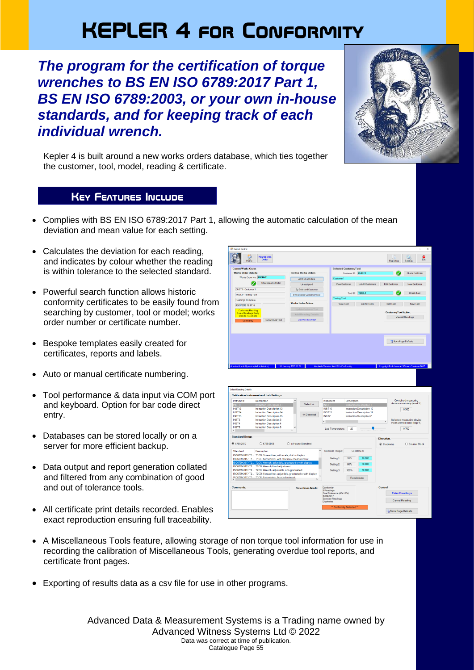## **KEPLER 4 for Conformity**

*The program for the certification of torque wrenches to BS EN ISO 6789:2017 Part 1, BS EN ISO 6789:2003, or your own in-house standards, and for keeping track of each individual wrench.* 



Kepler 4 is built around a new works orders database, which ties together the customer, tool, model, reading & certificate.

## **Key Features Include**

**Maria** 

- Complies with BS EN ISO 6789:2017 Part 1, allowing the automatic calculation of the mean deviation and mean value for each setting.
- Calculates the deviation for each reading, and indicates by colour whether the reading is within tolerance to the selected standard.
- Powerful search function allows historic conformity certificates to be easily found from searching by customer, tool or model; works order number or certificate number.
- Bespoke templates easily created for certificates, reports and labels.
- Auto or manual certificate numbering.
- Tool performance & data input via COM port and keyboard. Option for bar code direct entry.
- Databases can be stored locally or on a server for more efficient backup.
- Data output and report generation collated and filtered from any combination of good and out of tolerance tools.
- All certificate print details recorded. Enables exact reproduction ensuring full traceability.

| n                                                                                                                                                                                                                                                                        | <b>New Works</b><br>Order                                                                               |                             |                                        |                                                         | Reporting                                              | Settings                                         | e. |
|--------------------------------------------------------------------------------------------------------------------------------------------------------------------------------------------------------------------------------------------------------------------------|---------------------------------------------------------------------------------------------------------|-----------------------------|----------------------------------------|---------------------------------------------------------|--------------------------------------------------------|--------------------------------------------------|----|
|                                                                                                                                                                                                                                                                          |                                                                                                         |                             |                                        |                                                         |                                                        |                                                  |    |
| <b>Current Works Order:</b>                                                                                                                                                                                                                                              |                                                                                                         |                             | <b>Selected Customer/Tool:</b>         |                                                         |                                                        |                                                  |    |
| <b>Works Order Details:</b>                                                                                                                                                                                                                                              |                                                                                                         | <b>Browse Works Orders</b>  |                                        | Customer ID: CUST1                                      |                                                        | <b>Check Customer</b>                            |    |
|                                                                                                                                                                                                                                                                          | Works Order No.: X000501                                                                                | <b>All Works Orders</b>     | Customer <sub>1</sub>                  |                                                         |                                                        |                                                  |    |
|                                                                                                                                                                                                                                                                          | Check Works Order                                                                                       |                             |                                        |                                                         |                                                        |                                                  |    |
|                                                                                                                                                                                                                                                                          | M                                                                                                       | Unassigned                  | <b>View Customer</b>                   | <b>List All Customers</b>                               | Edit Customer                                          | <b>New Customer</b>                              |    |
| CUST1 - Customer 1                                                                                                                                                                                                                                                       |                                                                                                         | <b>By Selected Customer</b> |                                        |                                                         |                                                        |                                                  |    |
| TOOL1 - Testing Tool                                                                                                                                                                                                                                                     |                                                                                                         | By Selected Customer/Tool   |                                        | Tool ID: TOOL1                                          |                                                        | <b>Check Tool</b>                                |    |
| Readings Complete                                                                                                                                                                                                                                                        |                                                                                                         |                             | <b>Testing Tool</b>                    |                                                         |                                                        |                                                  |    |
|                                                                                                                                                                                                                                                                          |                                                                                                         | <b>Works Order Action:</b>  | View Tool                              | <b>List All Tools</b>                                   | Edit Tool                                              | New Tool                                         |    |
| 08/01/2018 16:37:16                                                                                                                                                                                                                                                      |                                                                                                         |                             |                                        |                                                         |                                                        |                                                  |    |
| <b>Conformity Reading</b>                                                                                                                                                                                                                                                |                                                                                                         |                             |                                        |                                                         | <b>Customer/Tool Action:</b>                           |                                                  |    |
| Some Readings Badly<br>Outside Tolerance                                                                                                                                                                                                                                 |                                                                                                         | Add Reading Detail          |                                        |                                                         |                                                        | <b>View All Readings</b>                         |    |
| Conformity                                                                                                                                                                                                                                                               | Select Cust/Tool                                                                                        | <b>View Works Order</b>     |                                        |                                                         |                                                        |                                                  |    |
|                                                                                                                                                                                                                                                                          |                                                                                                         |                             |                                        |                                                         |                                                        |                                                  |    |
|                                                                                                                                                                                                                                                                          |                                                                                                         |                             |                                        |                                                         |                                                        | <b>Eg</b> Save Page Defaults                     |    |
|                                                                                                                                                                                                                                                                          |                                                                                                         |                             |                                        |                                                         |                                                        |                                                  |    |
|                                                                                                                                                                                                                                                                          |                                                                                                         |                             |                                        |                                                         |                                                        |                                                  |    |
|                                                                                                                                                                                                                                                                          |                                                                                                         |                             |                                        |                                                         |                                                        |                                                  |    |
|                                                                                                                                                                                                                                                                          |                                                                                                         |                             |                                        |                                                         |                                                        |                                                  |    |
|                                                                                                                                                                                                                                                                          |                                                                                                         |                             |                                        |                                                         |                                                        |                                                  |    |
| dmin - Admin Operator (Administrator)                                                                                                                                                                                                                                    |                                                                                                         | 18 January 2018 11:21       | Kepler4 - Version: K4=1.01 - Conformit |                                                         | Copyright <sup>®</sup> - Advanced Witness Systems 2017 |                                                  |    |
|                                                                                                                                                                                                                                                                          |                                                                                                         |                             |                                        |                                                         |                                                        |                                                  |    |
|                                                                                                                                                                                                                                                                          |                                                                                                         |                             |                                        |                                                         |                                                        |                                                  |    |
|                                                                                                                                                                                                                                                                          |                                                                                                         |                             |                                        |                                                         |                                                        |                                                  |    |
|                                                                                                                                                                                                                                                                          | <b>Calibration Instrument and Lab Settings:</b>                                                         |                             |                                        |                                                         |                                                        |                                                  |    |
|                                                                                                                                                                                                                                                                          | Description                                                                                             |                             | Instrument<br>Description              |                                                         |                                                        | Combined measuring<br>device uncertainty (wmd %) |    |
|                                                                                                                                                                                                                                                                          | struction De<br>cnption 11                                                                              | Select>>                    | NST <sub>1</sub>                       | Descript                                                |                                                        |                                                  |    |
|                                                                                                                                                                                                                                                                          | Instruction Description 13                                                                              |                             | <b>INST10</b><br><b>INST12</b>         | <b>Instruction Description 10</b>                       |                                                        | 0.300                                            |    |
|                                                                                                                                                                                                                                                                          | Instruction Description 14<br>Instruction Description 15                                                | << Deselect                 | <b>INST2</b>                           | Instruction Description 12<br>Instruction Description 2 |                                                        |                                                  |    |
|                                                                                                                                                                                                                                                                          | Instruction Description 3                                                                               |                             |                                        |                                                         |                                                        | Selected measuring device                        |    |
|                                                                                                                                                                                                                                                                          | Instruction Description 4                                                                               |                             | $\epsilon$                             |                                                         | $\rightarrow$                                          | measurement error (bep %)                        |    |
|                                                                                                                                                                                                                                                                          | Instruction Description 5                                                                               |                             |                                        |                                                         |                                                        |                                                  |    |
|                                                                                                                                                                                                                                                                          |                                                                                                         |                             | 20<br>Lab Temperature:                 |                                                         |                                                        | 0.700                                            |    |
|                                                                                                                                                                                                                                                                          |                                                                                                         |                             |                                        |                                                         | <b>Direction:</b>                                      |                                                  |    |
|                                                                                                                                                                                                                                                                          | $O$ 6789:2003                                                                                           | O In-House Standard         |                                        |                                                         | Clockwise                                              | O Counter Clock                                  |    |
|                                                                                                                                                                                                                                                                          |                                                                                                         | $\hat{\phantom{a}}$         | Nominal Torque:                        | 50.000 N.m                                              |                                                        |                                                  |    |
|                                                                                                                                                                                                                                                                          | Description<br>ISO6789-2017-T1 T1CD: Screwdriver, with scale, dial or display                           |                             |                                        |                                                         |                                                        |                                                  |    |
|                                                                                                                                                                                                                                                                          | ISO6789-2017-T1 T1CE: Screwdriver, with electronic measurement                                          |                             | Setting 1:<br>20%                      | 10.000                                                  |                                                        |                                                  |    |
|                                                                                                                                                                                                                                                                          | T2CA: Wrench, adjustible, graduated or with display                                                     |                             |                                        |                                                         |                                                        |                                                  |    |
|                                                                                                                                                                                                                                                                          | ISO6789-2017-T2 T2CB: Wrench, fixed adjustment                                                          |                             | Setting 2:<br>60%                      | 30.000                                                  |                                                        |                                                  |    |
|                                                                                                                                                                                                                                                                          | ISO6789-2017-T2 T2CC: Wrench, adjustable, non-gradualted                                                |                             | 100%<br>Setting 3:                     | 50.000                                                  |                                                        |                                                  |    |
|                                                                                                                                                                                                                                                                          | ISO6789-2017-T2 T2CD: Screwdriver, adjustible, graduated or with display<br>TOOE: Cornwelling fixed adj |                             |                                        | Recalculate                                             |                                                        |                                                  |    |
|                                                                                                                                                                                                                                                                          |                                                                                                         |                             |                                        |                                                         |                                                        |                                                  |    |
|                                                                                                                                                                                                                                                                          |                                                                                                         | <b>Selections Made:</b>     | Conformity                             |                                                         | Control                                                |                                                  |    |
|                                                                                                                                                                                                                                                                          |                                                                                                         |                             | 5 Readings                             |                                                         |                                                        |                                                  |    |
| <b>Select Reading Details</b><br>Instrument<br><b>INST11</b><br><b>INST13</b><br>INST14<br><b>INST15</b><br>INST3<br>INST4<br><b>INST5</b><br>$\leftarrow$<br><b>Standard Setup:</b><br>● 6789:2017<br>Standard<br>SO6789-2017-T2<br><b>IROE780.0017.TO</b><br>Comments: |                                                                                                         |                             | Dual Tolerance (4% / 6%)<br>6789:2017  |                                                         |                                                        | <b>Enter Readings</b>                            |    |
|                                                                                                                                                                                                                                                                          |                                                                                                         |                             | <b>Exercise Readings</b>               |                                                         |                                                        | <b>Cancel Reading</b>                            |    |
|                                                                                                                                                                                                                                                                          |                                                                                                         |                             | Clockwise                              |                                                         |                                                        |                                                  |    |
|                                                                                                                                                                                                                                                                          |                                                                                                         |                             | ** Conformity Selected **              |                                                         |                                                        | Save Page Defaults                               |    |

- A Miscellaneous Tools feature, allowing storage of non torque tool information for use in recording the calibration of Miscellaneous Tools, generating overdue tool reports, and certificate front pages.
- Exporting of results data as a csv file for use in other programs.

Advanced Data & Measurement Systems is a Trading name owned by Advanced Witness Systems Ltd © 2022 Data was correct at time of publication. Catalogue Page 55